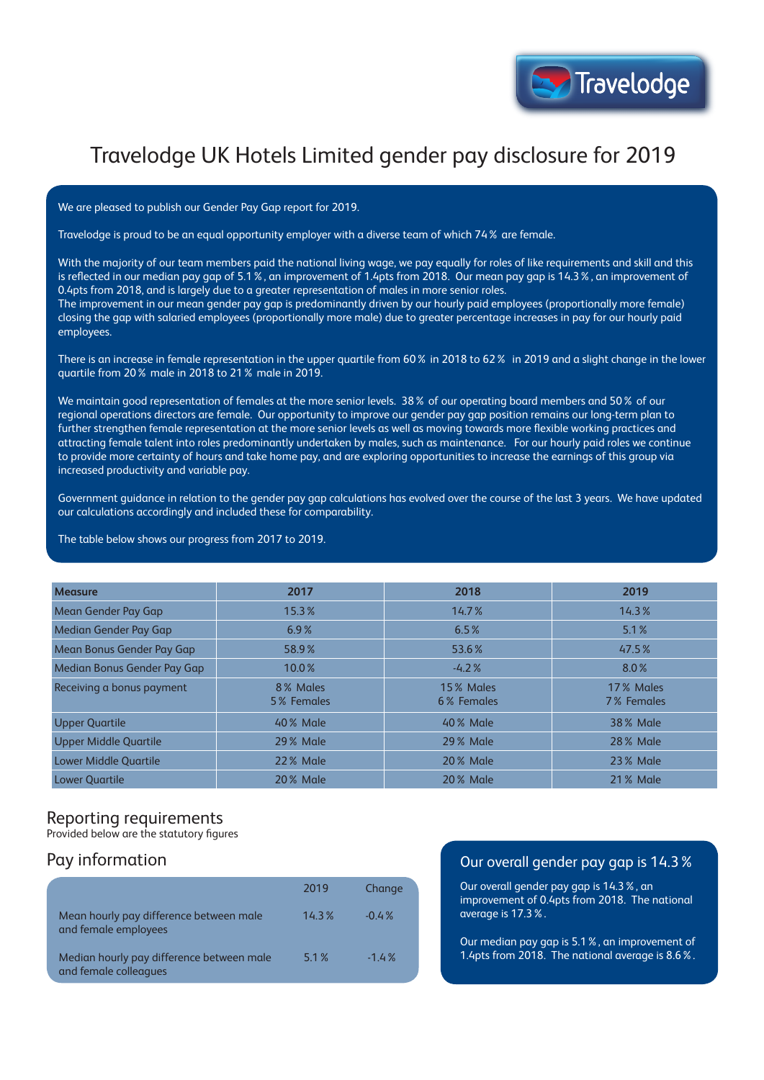# Travelodge UK Hotels Limited gender pay disclosure for 2019

We are pleased to publish our Gender Pay Gap report for 2019.

Travelodge is proud to be an equal opportunity employer with a diverse team of which 74% are female.

With the majority of our team members paid the national living wage, we pay equally for roles of like requirements and skill and this is reflected in our median pay gap of 5.1%, an improvement of 1.4pts from 2018. Our mean pay gap is 14.3%, an improvement of 0.4pts from 2018, and is largely due to a greater representation of males in more senior roles.

The improvement in our mean gender pay gap is predominantly driven by our hourly paid employees (proportionally more female) closing the gap with salaried employees (proportionally more male) due to greater percentage increases in pay for our hourly paid employees.

There is an increase in female representation in the upper quartile from 60% in 2018 to 62% in 2019 and a slight change in the lower quartile from 20% male in 2018 to 21% male in 2019.

We maintain good representation of females at the more senior levels. 38% of our operating board members and 50% of our regional operations directors are female. Our opportunity to improve our gender pay gap position remains our long-term plan to further strengthen female representation at the more senior levels as well as moving towards more flexible working practices and attracting female talent into roles predominantly undertaken by males, such as maintenance. For our hourly paid roles we continue to provide more certainty of hours and take home pay, and are exploring opportunities to increase the earnings of this group via increased productivity and variable pay.

Government guidance in relation to the gender pay gap calculations has evolved over the course of the last 3 years. We have updated our calculations accordingly and included these for comparability.

The table below shows our progress from 2017 to 2019.

| <b>Measure</b>               | 2017                   | 2018                    | 2019                    |
|------------------------------|------------------------|-------------------------|-------------------------|
| Mean Gender Pay Gap          | 15.3%                  | 14.7%                   | 14.3%                   |
| Median Gender Pay Gap        | 6.9%                   | 6.5%                    | 5.1%                    |
| Mean Bonus Gender Pay Gap    | 58.9%                  | 53.6%                   | 47.5%                   |
| Median Bonus Gender Pay Gap  | 10.0%                  | $-4.2%$                 | 8.0%                    |
| Receiving a bonus payment    | 8% Males<br>5% Females | 15% Males<br>6% Females | 17% Males<br>7% Females |
| <b>Upper Quartile</b>        | 40% Male               | 40% Male                | <b>38% Male</b>         |
| <b>Upper Middle Quartile</b> | <b>29% Male</b>        | <b>29% Male</b>         | <b>28% Male</b>         |
| <b>Lower Middle Quartile</b> | <b>22% Male</b>        | <b>20% Male</b>         | <b>23% Male</b>         |
| <b>Lower Ouartile</b>        | 20 % Male              | <b>20% Male</b>         | 21 % Male               |

#### Reporting requirements

Provided below are the statutory figures

## Pay information

|                                                                    | 2019  | Change  |
|--------------------------------------------------------------------|-------|---------|
| Mean hourly pay difference between male<br>and female employees    | 14.3% | $-0.4%$ |
| Median hourly pay difference between male<br>and female colleagues | 5.1%  | $-1.4%$ |

#### Our overall gender pay gap is 14.3%

Our overall gender pay gap is 14.3%, an improvement of 0.4pts from 2018. The national average is 17.3%.

Our median pay gap is 5.1%, an improvement of 1.4pts from 2018. The national average is 8.6%.